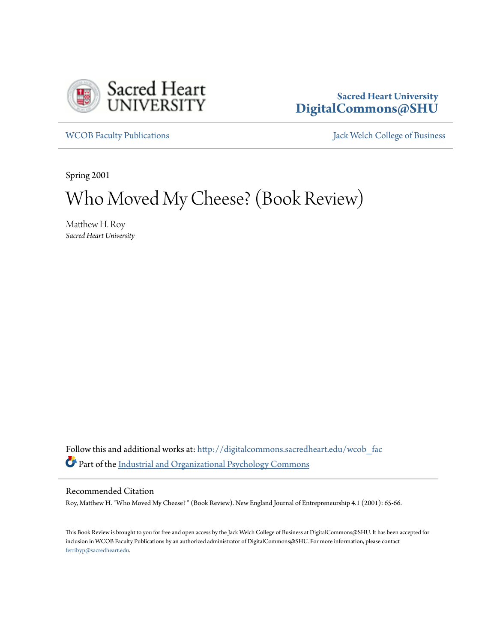

### **Sacred Heart University [DigitalCommons@SHU](http://digitalcommons.sacredheart.edu?utm_source=digitalcommons.sacredheart.edu%2Fwcob_fac%2F249&utm_medium=PDF&utm_campaign=PDFCoverPages)**

[WCOB Faculty Publications](http://digitalcommons.sacredheart.edu/wcob_fac?utm_source=digitalcommons.sacredheart.edu%2Fwcob_fac%2F249&utm_medium=PDF&utm_campaign=PDFCoverPages) **MECOB** Faculty Publications **Accord Publications** [Jack Welch College of Business](http://digitalcommons.sacredheart.edu/wcob?utm_source=digitalcommons.sacredheart.edu%2Fwcob_fac%2F249&utm_medium=PDF&utm_campaign=PDFCoverPages)

Spring 2001

# Who Moved My Cheese? (Book Review)

Matthew H. Roy *Sacred Heart University*

Follow this and additional works at: [http://digitalcommons.sacredheart.edu/wcob\\_fac](http://digitalcommons.sacredheart.edu/wcob_fac?utm_source=digitalcommons.sacredheart.edu%2Fwcob_fac%2F249&utm_medium=PDF&utm_campaign=PDFCoverPages) Part of the [Industrial and Organizational Psychology Commons](http://network.bepress.com/hgg/discipline/412?utm_source=digitalcommons.sacredheart.edu%2Fwcob_fac%2F249&utm_medium=PDF&utm_campaign=PDFCoverPages)

#### Recommended Citation

Roy, Matthew H. "Who Moved My Cheese? " (Book Review). New England Journal of Entrepreneurship 4.1 (2001): 65-66.

This Book Review is brought to you for free and open access by the Jack Welch College of Business at DigitalCommons@SHU. It has been accepted for inclusion in WCOB Faculty Publications by an authorized administrator of DigitalCommons@SHU. For more information, please contact [ferribyp@sacredheart.edu](mailto:ferribyp@sacredheart.edu).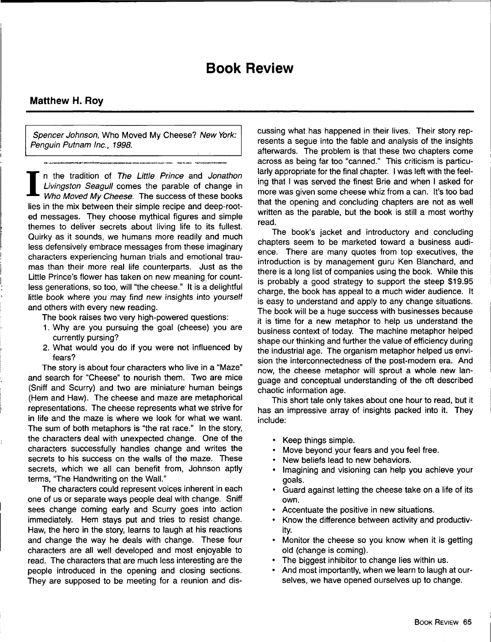## **Book Review**

#### **Matthew H. Roy**

Spencer Johnson, Who Moved My Cheese? New York: Penguin Putnam Inc., 1998.

Mattl<br>
Form<br>
Pengu<br>
T<br>
In<br>
Lin<br>
Whies in<br>
ed me n the tradition of The Little Prince and Jonathon Livingston Seagull comes the parable of change in Who Moved My Cheese. The success of these books lies in the mix between their simple recipe and deep-rooted messages. They choose mythical figures and simple themes to deliver secrets about living life to its fullest. Quirky as it sounds, we humans more readily and much less defensively embrace messages from these imaginary characters experiencing human trials and emotional traumas than their more real life counterparts. Just as the Little Prince's flower has taken on new meaning for countless generations, so too, will "the cheese." It is a delightful little book where you may find new insights into yourself and others with every new reading.

The book raises two very high-powered questions:

- 1. Why are you pursuing the goal (cheese) you are currently pursing?
- 2. What would you do if you were not influenced by fears?

The story is about four characters who live in a "Maze" and search for "Cheese" to nourish them. Two are mice (Sniff and Scurry) and two are miniature human beings (Hem and Haw). The cheese and maze are metaphorical representations. The cheese represents what we strive for in life and the maze is where we look for what we want. The sum of both metaphors is "the rat race." In the story, the characters deal with unexpected change. One of the characters successfully handles change and writes the secrets to his success on the walls of the maze. These secrets, which we all can benefit from, Johnson aptly terms, "The Handwriting on the Wall."

The characters could represent voices inherent in each one of us or separate ways people deal with change. Sniff sees change coming early and Scurry goes into action immediately. Hem stays put and tries to resist change. Haw, the hero in the story, learns to laugh at his reactions and change the way he deals with change. These four characters are all well developed and most enjoyable to read. The characters that are much less interesting are the people introduced in the opening and closing sections. They are supposed to be meeting for a reunion and discussing what has happened in their lives. Their story represents a segue into the fable and analysis of the insights afterwards. The problem is that these two chapters come across as being far too "canned." This criticism is particularly appropriate for the final chapter. I was left with the feeling that I was served the finest Brie and when I asked for more was given some cheese whiz from a can. It's too bad that the opening and concluding chapters are not as well written as the parable, but the book is still a most worthy read.

The book's jacket and introductory and concluding chapters seem to be marketed toward a business audience. There are many quotes from top executives, the introduction is by management guru Ken Blanchard, and there is a long list of companies using the book. While this is probably a good strategy to support the steep \$19.95 charge, the book has appeal to a much wider audience. It is easy to understand and apply to any change situations. The book will be a huge success with businesses because it is time for a new metaphor to help us understand the business context of today. The machine metaphor helped shape our thinking and further the value of efficiency during the industrial age. The organism metaphor helped us envision the interconnectedness of the post-modem era. And now, the cheese metaphor will sprout a whole new language and conceptual understanding of the oft described chaotic information age.

This short tale only takes about one hour to read, but it has an impressive array of insights packed into it. They include:

- Keep things simple.
- Move beyond your fears and you feel free.
- New beliefs lead to new behaviors.
- Imagining and visioning can help you achieve your goals.
- Guard against letting the cheese take on a life of its own.
- Accentuate the positive in new situations.
- Know the difference between activity and productivity.
- Monitor the cheese so you know when it is getting old (change is coming).
- The biggest inhibitor to change lies within us.
- And most importantly, when we learn to laugh at ourselves, we have opened ourselves up to change.